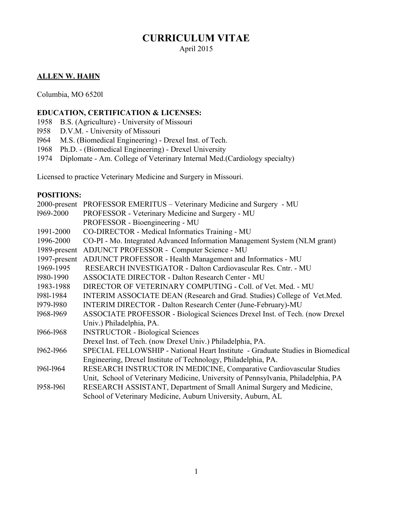# **CURRICULUM VITAE**

April 2015

### **ALLEN W. HAHN**

Columbia, MO 6520l

### **EDUCATION, CERTIFICATION & LICENSES:**

- 1958 B.S. (Agriculture) University of Missouri
- l958 D.V.M. University of Missouri
- l964 M.S. (Biomedical Engineering) Drexel Inst. of Tech.
- 1968 Ph.D. (Biomedical Engineering) Drexel University
- 1974 Diplomate Am. College of Veterinary Internal Med.(Cardiology specialty)

Licensed to practice Veterinary Medicine and Surgery in Missouri.

### **POSITIONS:**

|              | 2000-present PROFESSOR EMERITUS - Veterinary Medicine and Surgery - MU            |  |  |  |  |
|--------------|-----------------------------------------------------------------------------------|--|--|--|--|
| 1969-2000    | PROFESSOR - Veterinary Medicine and Surgery - MU                                  |  |  |  |  |
|              | PROFESSOR - Bioengineering - MU                                                   |  |  |  |  |
| 1991-2000    | CO-DIRECTOR - Medical Informatics Training - MU                                   |  |  |  |  |
| 1996-2000    | CO-PI - Mo. Integrated Advanced Information Management System (NLM grant)         |  |  |  |  |
| 1989-present | ADJUNCT PROFESSOR - Computer Science - MU                                         |  |  |  |  |
| 1997-present | ADJUNCT PROFESSOR - Health Management and Informatics - MU                        |  |  |  |  |
| 1969-1995    | RESEARCH INVESTIGATOR - Dalton Cardiovascular Res. Cntr. - MU                     |  |  |  |  |
| 1980-1990    | <b>ASSOCIATE DIRECTOR - Dalton Research Center - MU</b>                           |  |  |  |  |
| 1983-1988    | DIRECTOR OF VETERINARY COMPUTING - Coll. of Vet. Med. - MU                        |  |  |  |  |
| 1981-1984    | INTERIM ASSOCIATE DEAN (Research and Grad. Studies) College of Vet.Med.           |  |  |  |  |
| 1979-1980    | INTERIM DIRECTOR - Dalton Research Center (June-February)-MU                      |  |  |  |  |
| 1968-1969    | ASSOCIATE PROFESSOR - Biological Sciences Drexel Inst. of Tech. (now Drexel       |  |  |  |  |
|              | Univ.) Philadelphia, PA.                                                          |  |  |  |  |
| 1966-1968    | <b>INSTRUCTOR - Biological Sciences</b>                                           |  |  |  |  |
|              | Drexel Inst. of Tech. (now Drexel Univ.) Philadelphia, PA.                        |  |  |  |  |
| 1962-1966    | SPECIAL FELLOWSHIP - National Heart Institute - Graduate Studies in Biomedical    |  |  |  |  |
|              | Engineering, Drexel Institute of Technology, Philadelphia, PA.                    |  |  |  |  |
| 1961-1964    | RESEARCH INSTRUCTOR IN MEDICINE, Comparative Cardiovascular Studies               |  |  |  |  |
|              | Unit, School of Veterinary Medicine, University of Pennsylvania, Philadelphia, PA |  |  |  |  |
| 1958-1961    | RESEARCH ASSISTANT, Department of Small Animal Surgery and Medicine,              |  |  |  |  |
|              | School of Veterinary Medicine, Auburn University, Auburn, AL                      |  |  |  |  |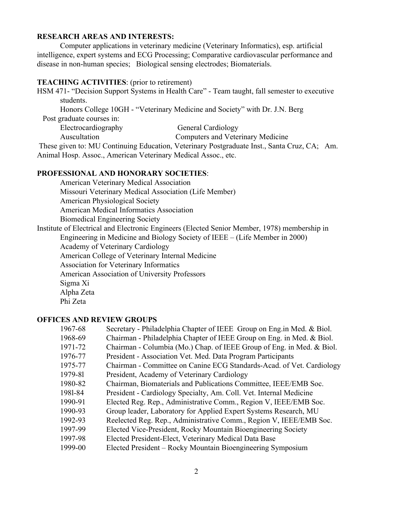#### **RESEARCH AREAS AND INTERESTS:**

Computer applications in veterinary medicine (Veterinary Informatics), esp. artificial intelligence, expert systems and ECG Processing; Comparative cardiovascular performance and disease in non-human species; Biological sensing electrodes; Biomaterials.

#### **TEACHING ACTIVITIES**: (prior to retirement)

HSM 471- "Decision Support Systems in Health Care" - Team taught, fall semester to executive students.

Honors College 10GH - "Veterinary Medicine and Society" with Dr. J.N. Berg Post graduate courses in:

Electrocardiography General Cardiology

Auscultation Computers and Veterinary Medicine

 These given to: MU Continuing Education, Veterinary Postgraduate Inst., Santa Cruz, CA; Am. Animal Hosp. Assoc., American Veterinary Medical Assoc., etc.

#### **PROFESSIONAL AND HONORARY SOCIETIES**:

American Veterinary Medical Association Missouri Veterinary Medical Association (Life Member) American Physiological Society American Medical Informatics Association Biomedical Engineering Society

Institute of Electrical and Electronic Engineers (Elected Senior Member, 1978) membership in

Engineering in Medicine and Biology Society of IEEE – (Life Member in 2000)

Academy of Veterinary Cardiology

American College of Veterinary Internal Medicine

Association for Veterinary Informatics

American Association of University Professors

Sigma Xi

Alpha Zeta

Phi Zeta

#### **OFFICES AND REVIEW GROUPS**

| 1967-68 | Secretary - Philadelphia Chapter of IEEE Group on Eng.in Med. & Biol. |
|---------|-----------------------------------------------------------------------|
| 1968-69 | Chairman - Philadelphia Chapter of IEEE Group on Eng. in Med. & Biol. |
| 1971-72 | Chairman - Columbia (Mo.) Chap. of IEEE Group of Eng. in Med. & Biol. |
| 1976-77 | President - Association Vet. Med. Data Program Participants           |
| 1975-77 | Chairman - Committee on Canine ECG Standards-Acad. of Vet. Cardiology |
| 1979-81 | President, Academy of Veterinary Cardiology                           |
| 1980-82 | Chairman, Biomaterials and Publications Committee, IEEE/EMB Soc.      |
| 1981-84 | President - Cardiology Specialty, Am. Coll. Vet. Internal Medicine    |
| 1990-91 | Elected Reg. Rep., Administrative Comm., Region V, IEEE/EMB Soc.      |
| 1990-93 | Group leader, Laboratory for Applied Expert Systems Research, MU      |
| 1992-93 | Reelected Reg. Rep., Administrative Comm., Region V, IEEE/EMB Soc.    |
| 1997-99 | Elected Vice-President, Rocky Mountain Bioengineering Society         |
| 1997-98 | Elected President-Elect, Veterinary Medical Data Base                 |
| 1999-00 | Elected President – Rocky Mountain Bioengineering Symposium           |
|         |                                                                       |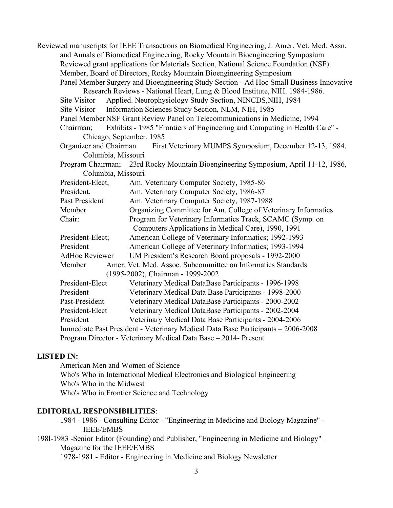Reviewed manuscripts for IEEE Transactions on Biomedical Engineering, J. Amer. Vet. Med. Assn. and Annals of Biomedical Engineering, Rocky Mountain Bioengineering Symposium Reviewed grant applications for Materials Section, National Science Foundation (NSF). Member, Board of Directors, Rocky Mountain Bioengineering Symposium Panel Member Surgery and Bioengineering Study Section - Ad Hoc Small Business Innovative Research Reviews - National Heart, Lung & Blood Institute, NIH. 1984-1986. Site Visitor Applied. Neurophysiology Study Section, NINCDS,NIH, 1984 Site Visitor Information Sciences Study Section, NLM, NIH, 1985 Panel Member NSF Grant Review Panel on Telecommunications in Medicine, 1994 Chairman; Exhibits - 1985 "Frontiers of Engineering and Computing in Health Care" - Chicago, September, 1985 Organizer and Chairman First Veterinary MUMPS Symposium, December 12-13, 1984, Columbia, Missouri Program Chairman; 23rd Rocky Mountain Bioengineering Symposium, April 11-12, 1986, Columbia, Missouri President-Elect, Am. Veterinary Computer Society, 1985-86 President, Am. Veterinary Computer Society, 1986-87 Past President Am. Veterinary Computer Society, 1987-1988 Member Organizing Committee for Am. College of Veterinary Informatics Chair: Program for Veterinary Informatics Track, SCAMC (Symp. on Computers Applications in Medical Care), 1990, 1991 President-Elect; American College of Veterinary Informatics; 1992-1993 President American College of Veterinary Informatics; 1993-1994 AdHoc Reviewer UM President's Research Board proposals - 1992-2000 Member Amer. Vet. Med. Assoc. Subcommittee on Informatics Standards (1995-2002), Chairman - 1999-2002 President-Elect Veterinary Medical DataBase Participants - 1996-1998 President Veterinary Medical Data Base Participants - 1998-2000 Past-President Veterinary Medical DataBase Participants - 2000-2002 President-Elect Veterinary Medical DataBase Participants - 2002-2004 President Veterinary Medical Data Base Participants - 2004-2006 Immediate Past President - Veterinary Medical Data Base Participants – 2006-2008 Program Director - Veterinary Medical Data Base – 2014- Present

#### **LISTED IN:**

American Men and Women of Science Who's Who in International Medical Electronics and Biological Engineering Who's Who in the Midwest Who's Who in Frontier Science and Technology

### **EDITORIAL RESPONSIBILITIES**:

1984 - 1986 - Consulting Editor - "Engineering in Medicine and Biology Magazine" - IEEE/EMBS

198l-1983 -Senior Editor (Founding) and Publisher, "Engineering in Medicine and Biology" – Magazine for the IEEE/EMBS

1978-1981 - Editor - Engineering in Medicine and Biology Newsletter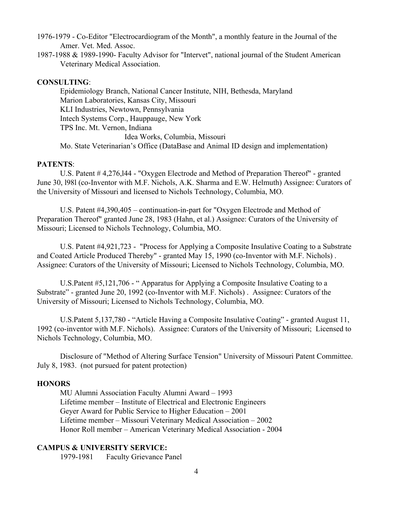- 1976-1979 Co-Editor "Electrocardiogram of the Month", a monthly feature in the Journal of the Amer. Vet. Med. Assoc.
- 1987-1988 & 1989-1990- Faculty Advisor for "Intervet", national journal of the Student American Veterinary Medical Association.

#### **CONSULTING**:

Epidemiology Branch, National Cancer Institute, NIH, Bethesda, Maryland Marion Laboratories, Kansas City, Missouri KLI Industries, Newtown, Pennsylvania Intech Systems Corp., Hauppauge, New York TPS Inc. Mt. Vernon, Indiana Idea Works, Columbia, Missouri Mo. State Veterinarian's Office (DataBase and Animal ID design and implementation)

#### **PATENTS**:

U.S. Patent # 4,276,l44 - "Oxygen Electrode and Method of Preparation Thereof" - granted June 30, l98l (co-Inventor with M.F. Nichols, A.K. Sharma and E.W. Helmuth) Assignee: Curators of the University of Missouri and licensed to Nichols Technology, Columbia, MO.

U.S. Patent #4,390,405 – continuation-in-part for "Oxygen Electrode and Method of Preparation Thereof" granted June 28, 1983 (Hahn, et al.) Assignee: Curators of the University of Missouri; Licensed to Nichols Technology, Columbia, MO.

U.S. Patent #4,921,723 - "Process for Applying a Composite Insulative Coating to a Substrate and Coated Article Produced Thereby" - granted May 15, 1990 (co-Inventor with M.F. Nichols) . Assignee: Curators of the University of Missouri; Licensed to Nichols Technology, Columbia, MO.

U.S.Patent #5,121,706 - "Apparatus for Applying a Composite Insulative Coating to a Substrate" - granted June 20, 1992 (co-Inventor with M.F. Nichols) . Assignee: Curators of the University of Missouri; Licensed to Nichols Technology, Columbia, MO.

U.S.Patent 5,137,780 - "Article Having a Composite Insulative Coating" - granted August 11, 1992 (co-inventor with M.F. Nichols). Assignee: Curators of the University of Missouri; Licensed to Nichols Technology, Columbia, MO.

Disclosure of "Method of Altering Surface Tension" University of Missouri Patent Committee. July 8, 1983. (not pursued for patent protection)

#### **HONORS**

MU Alumni Association Faculty Alumni Award – 1993 Lifetime member – Institute of Electrical and Electronic Engineers Geyer Award for Public Service to Higher Education – 2001 Lifetime member – Missouri Veterinary Medical Association – 2002 Honor Roll member – American Veterinary Medical Association - 2004

#### **CAMPUS & UNIVERSITY SERVICE:**

1979-1981 Faculty Grievance Panel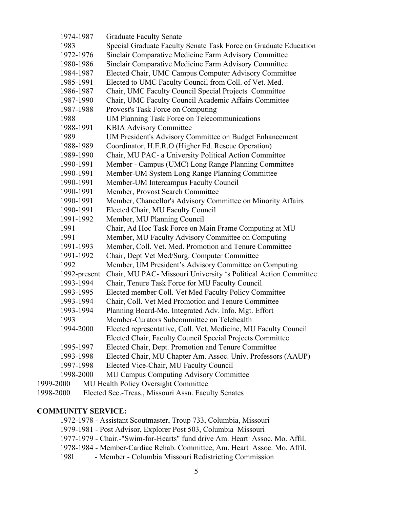| 1974-1987    | <b>Graduate Faculty Senate</b>                                   |
|--------------|------------------------------------------------------------------|
| 1983         | Special Graduate Faculty Senate Task Force on Graduate Education |
| 1972-1976    | Sinclair Comparative Medicine Farm Advisory Committee            |
| 1980-1986    | Sinclair Comparative Medicine Farm Advisory Committee            |
| 1984-1987    | Elected Chair, UMC Campus Computer Advisory Committee            |
| 1985-1991    | Elected to UMC Faculty Council from Coll. of Vet. Med.           |
| 1986-1987    | Chair, UMC Faculty Council Special Projects Committee            |
| 1987-1990    | Chair, UMC Faculty Council Academic Affairs Committee            |
| 1987-1988    | Provost's Task Force on Computing                                |
| 1988         | UM Planning Task Force on Telecommunications                     |
| 1988-1991    | <b>KBIA Advisory Committee</b>                                   |
| 1989         | UM President's Advisory Committee on Budget Enhancement          |
| 1988-1989    | Coordinator, H.E.R.O. (Higher Ed. Rescue Operation)              |
| 1989-1990    | Chair, MU PAC- a University Political Action Committee           |
| 1990-1991    | Member - Campus (UMC) Long Range Planning Committee              |
| 1990-1991    | Member-UM System Long Range Planning Committee                   |
| 1990-1991    | Member-UM Intercampus Faculty Council                            |
| 1990-1991    | Member, Provost Search Committee                                 |
| 1990-1991    | Member, Chancellor's Advisory Committee on Minority Affairs      |
| 1990-1991    | Elected Chair, MU Faculty Council                                |
| 1991-1992    | Member, MU Planning Council                                      |
| 1991         | Chair, Ad Hoc Task Force on Main Frame Computing at MU           |
| 1991         | Member, MU Faculty Advisory Committee on Computing               |
| 1991-1993    | Member, Coll. Vet. Med. Promotion and Tenure Committee           |
| 1991-1992    | Chair, Dept Vet Med/Surg. Computer Committee                     |
| 1992         | Member, UM President's Advisory Committee on Computing           |
| 1992-present | Chair, MU PAC- Missouri University 's Political Action Committee |
| 1993-1994    | Chair, Tenure Task Force for MU Faculty Council                  |
| 1993-1995    | Elected member Coll. Vet Med Faculty Policy Committee            |
| 1993-1994    | Chair, Coll. Vet Med Promotion and Tenure Committee              |
| 1993-1994    | Planning Board-Mo. Integrated Adv. Info. Mgt. Effort             |
| 1993         | Member-Curators Subcommittee on Telehealth                       |
| 1994-2000    | Elected representative, Coll. Vet. Medicine, MU Faculty Council  |
|              | Elected Chair, Faculty Council Special Projects Committee        |
| 1995-1997    | Elected Chair, Dept. Promotion and Tenure Committee              |
| 1993-1998    | Elected Chair, MU Chapter Am. Assoc. Univ. Professors (AAUP)     |
| 1997-1998    | Elected Vice-Chair, MU Faculty Council                           |
| 1998-2000    | MU Campus Computing Advisory Committee                           |
| 1999-2000    | MU Health Policy Oversight Committee                             |
|              |                                                                  |

## 1998-2000 Elected Sec.-Treas., Missouri Assn. Faculty Senates

### **COMMUNITY SERVICE:**

1972-1978 - Assistant Scoutmaster, Troup 733, Columbia, Missouri 1979-1981 - Post Advisor, Explorer Post 503, Columbia Missouri 1977-1979 - Chair.-"Swim-for-Hearts" fund drive Am. Heart Assoc. Mo. Affil. 1978-1984 - Member-Cardiac Rehab. Committee, Am. Heart Assoc. Mo. Affil. 198l - Member - Columbia Missouri Redistricting Commission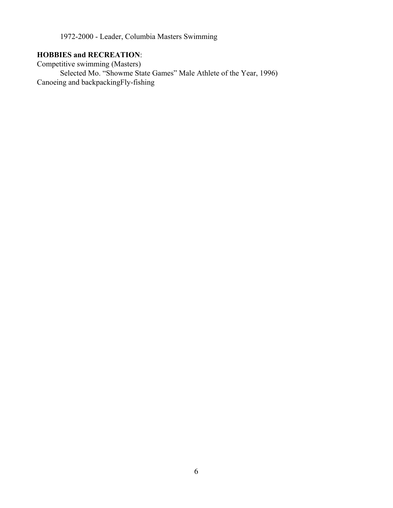1972-2000 - Leader, Columbia Masters Swimming

## **HOBBIES and RECREATION**:

Competitive swimming (Masters) Selected Mo. "Showme State Games" Male Athlete of the Year, 1996) Canoeing and backpackingFly-fishing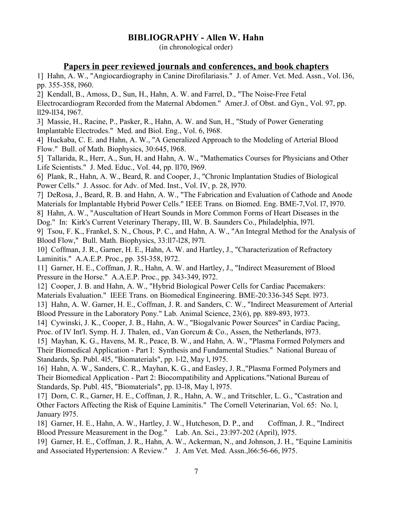## **BIBLIOGRAPHY - Allen W. Hahn**

(in chronological order)

### **Papers in peer reviewed journals and conferences, and book chapters**

1] Hahn, A. W., "Angiocardiography in Canine Dirofilariasis." J. of Amer. Vet. Med. Assn., Vol. l36, pp. 355-358, l960.

2] Kendall, B., Amoss, D., Sun, H., Hahn, A. W. and Farrel, D., "The Noise-Free Fetal Electrocardiogram Recorded from the Maternal Abdomen." Amer.J. of Obst. and Gyn., Vol. 97, pp. ll29-ll34, l967.

3] Massie, H., Racine, P., Pasker, R., Hahn, A. W. and Sun, H., "Study of Power Generating Implantable Electrodes." Med. and Biol. Eng., Vol. 6, l968.

4] Huckaba, C. E. and Hahn, A. W., "A Generalized Approach to the Modeling of Arterial Blood Flow." Bull. of Math. Biophysics, 30:645, l968.

5] Tallarida, R., Herr, A., Sun, H. and Hahn, A. W., "Mathematics Courses for Physicians and Other Life Scientists." J. Med. Educ., Vol. 44, pp. ll70, l969.

6] Plank, R., Hahn, A. W., Beard, R. and Cooper, J., "Chronic Implantation Studies of Biological Power Cells." J. Assoc. for Adv. of Med. Inst., Vol. IV, p. 28, l970.

7] DeRosa, J., Beard, R. B. and Hahn, A. W., "The Fabrication and Evaluation of Cathode and Anode Materials for Implantable Hybrid Power Cells." IEEE Trans. on Biomed. Eng. BME-7,Vol. l7, l970.

8] Hahn, A. W., "Auscultation of Heart Sounds in More Common Forms of Heart Diseases in the Dog." In: Kirk's Current Veterinary Therapy, III, W. B. Saunders Co., Philadelphia, l97l.

9] Tsou, F. K., Frankel, S. N., Chous, P. C., and Hahn, A. W., "An Integral Method for the Analysis of Blood Flow," Bull. Math. Biophysics, 33:ll7-l28, l97l.

10] Coffman, J. R., Garner, H. E., Hahn, A. W. and Hartley, J., "Characterization of Refractory Laminitis." A.A.E.P. Proc., pp. 35l-358, l972.

11] Garner, H. E., Coffman, J. R., Hahn, A. W. and Hartley, J., "Indirect Measurement of Blood Pressure in the Horse." A.A.E.P. Proc., pp. 343-349, l972.

12] Cooper, J. B. and Hahn, A. W., "Hybrid Biological Power Cells for Cardiac Pacemakers: Materials Evaluation." IEEE Trans. on Biomedical Engineering. BME-20:336-345 Sept. l973.

13] Hahn, A. W. Garner, H. E., Coffman, J. R. and Sanders, C. W., "Indirect Measurement of Arterial Blood Pressure in the Laboratory Pony." Lab. Animal Science, 23(6), pp. 889-893, l973.

14] Cywinski, J. K., Cooper, J. B., Hahn, A. W., "Biogalvanic Power Sources" in Cardiac Pacing, Proc. of IV Int'l. Symp. H. J. Thalen, ed., Van Gorcum & Co., Assen, the Netherlands, l973.

15] Mayhan, K. G., Havens, M. R., Peace, B. W., and Hahn, A. W., "Plasma Formed Polymers and Their Biomedical Application - Part I: Synthesis and Fundamental Studies." National Bureau of Standards, Sp. Publ. 4l5, "Biomaterials", pp. l-l2, May l, l975.

16] Hahn, A. W., Sanders, C. R., Mayhan, K. G., and Easley, J. R.,"Plasma Formed Polymers and Their Biomedical Application - Part 2: Biocompatibility and Applications."National Bureau of Standards, Sp. Publ. 4l5, "Biomaterials", pp. l3-l8, May l, l975.

17] Dorn, C. R., Garner, H. E., Coffman, J. R., Hahn, A. W., and Tritschler, L. G., "Castration and Other Factors Affecting the Risk of Equine Laminitis." The Cornell Veterinarian, Vol. 65: No. l, January l975.

18] Garner, H. E., Hahn, A. W., Hartley, J. W., Hutcheson, D. P., and Coffman, J. R., "Indirect Blood Pressure Measurement in the Dog." Lab. An. Sci., 23:l97-202 (April), l975.

19] Garner, H. E., Coffman, J. R., Hahn, A. W., Ackerman, N., and Johnson, J. H., "Equine Laminitis and Associated Hypertension: A Review." J. Am Vet. Med. Assn.,l66:56-66, l975.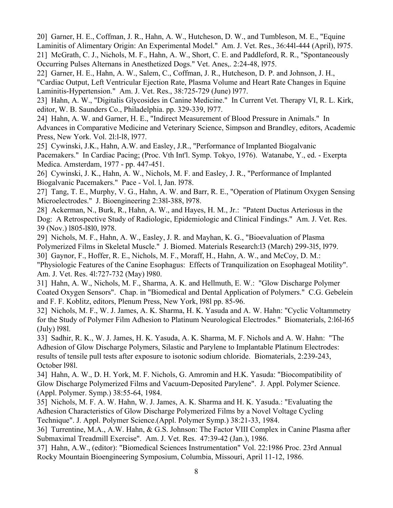20] Garner, H. E., Coffman, J. R., Hahn, A. W., Hutcheson, D. W., and Tumbleson, M. E., "Equine Laminitis of Alimentary Origin: An Experimental Model." Am. J. Vet. Res., 36:44l-444 (April), l975. 21] McGrath, C. J., Nichols, M. F., Hahn, A. W., Short, C. E. and Paddleford, R. R., "Spontaneously Occurring Pulses Alternans in Anesthetized Dogs." Vet. Anes,. 2:24-48, l975.

22] Garner, H. E., Hahn, A. W., Salem, C., Coffman, J. R., Hutcheson, D. P. and Johnson, J. H., "Cardiac Output, Left Ventricular Ejection Rate, Plasma Volume and Heart Rate Changes in Equine Laminitis-Hypertension." Am. J. Vet. Res., 38:725-729 (June) l977.

23] Hahn, A. W., "Digitalis Glycosides in Canine Medicine." In Current Vet. Therapy VI, R. L. Kirk, editor, W. B. Saunders Co., Philadelphia. pp. 329-339, l977.

24] Hahn, A. W. and Garner, H. E., "Indirect Measurement of Blood Pressure in Animals." In Advances in Comparative Medicine and Veterinary Science, Simpson and Brandley, editors, Academic Press, New York. Vol. 2l:l-l8, l977.

25] Cywinski, J.K., Hahn, A.W. and Easley, J.R., "Performance of Implanted Biogalvanic Pacemakers." In Cardiac Pacing; (Proc. Vth Int'l. Symp. Tokyo, 1976). Watanabe, Y., ed. - Exerpta Medica. Amsterdam, 1977 - pp. 447-451.

26] Cywinski, J. K., Hahn, A. W., Nichols, M. F. and Easley, J. R., "Performance of Implanted Biogalvanic Pacemakers." Pace - Vol. l, Jan. l978.

27] Tang, T. E., Murphy, V. G., Hahn, A. W. and Barr, R. E., "Operation of Platinum Oxygen Sensing Microelectrodes." J. Bioengineering 2:38l-388, l978.

28] Ackerman, N., Burk, R., Hahn, A. W., and Hayes, H. M., Jr.: "Patent Ductus Arteriosus in the Dog: A Retrospective Study of Radiologic, Epidemiologic and Clinical Findings." Am. J. Vet. Res. 39 (Nov.) l805-l8l0, l978.

29] Nichols, M. F., Hahn, A. W., Easley, J. R. and Mayhan, K. G., "Bioevaluation of Plasma Polymerized Films in Skeletal Muscle." J. Biomed. Materials Research:l3 (March) 299-3l5, l979. 30] Gaynor, F., Hoffer, R. E., Nichols, M. F., Moraff, H., Hahn, A. W., and McCoy, D. M.: "Physiologic Features of the Canine Esophagus: Effects of Tranquilization on Esophageal Motility". Am. J. Vet. Res. 4l:727-732 (May) l980.

31] Hahn, A. W., Nichols, M. F., Sharma, A. K. and Hellmuth, E. W.: "Glow Discharge Polymer Coated Oxygen Sensors". Chap. in "Biomedical and Dental Application of Polymers." C.G. Gebelein and F. F. Koblitz, editors, Plenum Press, New York, l98l pp. 85-96.

32] Nichols, M. F., W. J. James, A. K. Sharma, H. K. Yasuda and A. W. Hahn: "Cyclic Voltammetry for the Study of Polymer Film Adhesion to Platinum Neurological Electrodes." Biomaterials, 2:l6l-l65 (July) l98l.

33] Sadhir, R. K., W. J. James, H. K. Yasuda, A. K. Sharma, M. F. Nichols and A. W. Hahn: "The Adhesion of Glow Discharge Polymers, Silastic and Parylene to Implantable Platinum Electrodes: results of tensile pull tests after exposure to isotonic sodium chloride. Biomaterials, 2:239-243, October l98l.

34] Hahn, A. W., D. H. York, M. F. Nichols, G. Amromin and H.K. Yasuda: "Biocompatibility of Glow Discharge Polymerized Films and Vacuum-Deposited Parylene". J. Appl. Polymer Science. (Appl. Polymer. Symp.) 38:55-64, 1984.

35] Nichols, M. F. A. W. Hahn, W. J. James, A. K. Sharma and H. K. Yasuda.: "Evaluating the Adhesion Characteristics of Glow Discharge Polymerized Films by a Novel Voltage Cycling Technique". J. Appl. Polymer Science.(Appl. Polymer Symp.) 38:21-33, 1984.

36] Turrentine, M.A., A.W. Hahn, & G.S. Johnson: The Factor VIII Complex in Canine Plasma after Submaximal Treadmill Exercise". Am. J. Vet. Res. 47:39-42 (Jan.), 1986.

37] Hahn, A.W., (editor): "Biomedical Sciences Instrumentation" Vol. 22:1986 Proc. 23rd Annual Rocky Mountain Bioengineering Symposium, Columbia, Missouri, April 11-12, 1986.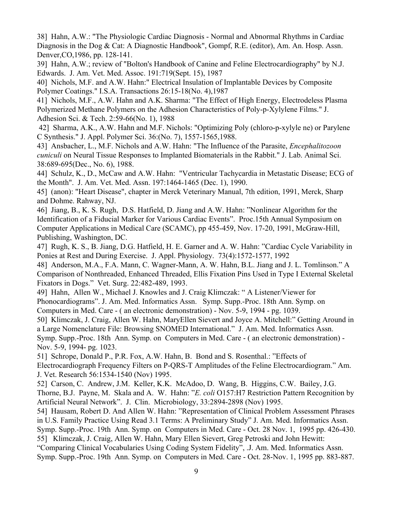38] Hahn, A.W.: "The Physiologic Cardiac Diagnosis - Normal and Abnormal Rhythms in Cardiac Diagnosis in the Dog & Cat: A Diagnostic Handbook", Gompf, R.E. (editor), Am. An. Hosp. Assn. Denver,CO,1986, pp. 128-141.

39] Hahn, A.W.; review of "Bolton's Handbook of Canine and Feline Electrocardiography" by N.J. Edwards. J. Am. Vet. Med. Assoc. 191:719(Sept. 15), 1987

40] Nichols, M.F. and A.W. Hahn:" Electrical Insulation of Implantable Devices by Composite Polymer Coatings." I.S.A. Transactions 26:15-18(No. 4),1987

41] Nichols, M.F., A.W. Hahn and A.K. Sharma: "The Effect of High Energy, Electrodeless Plasma Polymerized Methane Polymers on the Adhesion Characteristics of Poly-p-Xylylene Films." J. Adhesion Sci. & Tech. 2:59-66(No. 1), 1988

 42] Sharma, A.K., A.W. Hahn and M.F. Nichols: "Optimizing Poly (chloro-p-xylyle ne) or Parylene C Synthesis." J. Appl. Polymer Sci. 36:(No. 7), 1557-1565,1988.

43] Ansbacher, L., M.F. Nichols and A.W. Hahn: "The Influence of the Parasite, *Encephalitozoon cuniculi* on Neural Tissue Responses to Implanted Biomaterials in the Rabbit." J. Lab. Animal Sci. 38:689-695(Dec., No. 6), 1988.

44] Schulz, K., D., McCaw and A.W. Hahn: "Ventricular Tachycardia in Metastatic Disease; ECG of the Month". J. Am. Vet. Med. Assn. 197:1464-1465 (Dec. 1), 1990.

45] (anon): "Heart Disease", chapter in Merck Veterinary Manual, 7th edition, 1991, Merck, Sharp and Dohme. Rahway, NJ.

46] Jiang, B., K. S. Rugh, D.S. Hatfield, D. Jiang and A.W. Hahn: "Nonlinear Algorithm for the Identification of a Fiducial Marker for Various Cardiac Events". Proc.15th Annual Symposium on Computer Applications in Medical Care (SCAMC), pp 455-459, Nov. 17-20, 1991, McGraw-Hill, Publishing, Washington, DC.

47] Rugh, K. S., B. Jiang, D.G. Hatfield, H. E. Garner and A. W. Hahn: "Cardiac Cycle Variability in Ponies at Rest and During Exercise. J. Appl. Physiology. 73(4):1572-1577, 1992

48] Anderson, M.A., F.A. Mann, C. Wagner-Mann, A. W. Hahn, B.L. Jiang and J. L. Tomlinson." A Comparison of Nonthreaded, Enhanced Threaded, Ellis Fixation Pins Used in Type I External Skeletal Fixators in Dogs." Vet. Surg. 22:482-489, 1993.

49] Hahn, Allen W., Michael J. Knowles and J. Craig Klimczak: " A Listener/Viewer for Phonocardiograms". J. Am. Med. Informatics Assn. Symp. Supp.-Proc. 18th Ann. Symp. on Computers in Med. Care - ( an electronic demonstration) - Nov. 5-9, 1994 - pg. 1039.

50] Klimczak, J. Craig, Allen W. Hahn, MaryEllen Sievert and Joyce A. Mitchell:" Getting Around in a Large Nomenclature File: Browsing SNOMED International." J. Am. Med. Informatics Assn. Symp. Supp.-Proc. 18th Ann. Symp. on Computers in Med. Care - ( an electronic demonstration) - Nov. 5-9, 1994- pg. 1023.

51] Schrope, Donald P., P.R. Fox, A.W. Hahn, B. Bond and S. Rosenthal.: "Effects of Electrocardiograph Frequency Filters on P-QRS-T Amplitudes of the Feline Electrocardiogram." Am. J. Vet. Research 56:1534-1540 (Nov) 1995.

52] Carson, C. Andrew, J.M. Keller, K.K. McAdoo, D. Wang, B. Higgins, C.W. Bailey, J.G. Thorne, B.J. Payne, M. Skala and A. W. Hahn: "*E. coli* O157:H7 Restriction Pattern Recognition by Artificial Neural Network". J. Clin. Microbiology, 33:2894-2898 (Nov) 1995.

54] Hausam, Robert D. And Allen W. Hahn: "Representation of Clinical Problem Assessment Phrases in U.S. Family Practice Using Read 3.1 Terms: A Preliminary Study" J. Am. Med. Informatics Assn. Symp. Supp.-Proc. 19th Ann. Symp. on Computers in Med. Care - Oct. 28 Nov. 1, 1995 pp. 426-430. 55] Klimczak, J. Craig, Allen W. Hahn, Mary Ellen Sievert, Greg Petroski and John Hewitt:

"Comparing Clinical Vocabularies Using Coding System Fidelity", .J. Am. Med. Informatics Assn. Symp. Supp.-Proc. 19th Ann. Symp. on Computers in Med. Care - Oct. 28-Nov. 1, 1995 pp. 883-887.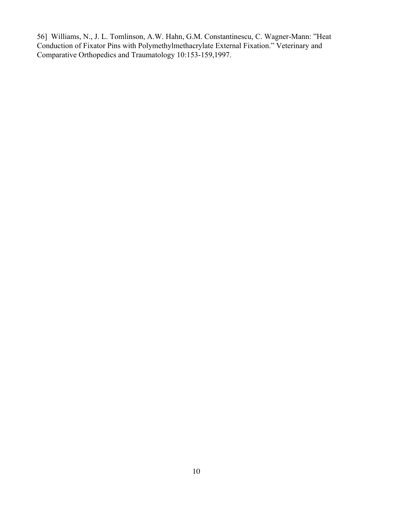56] Williams, N., J. L. Tomlinson, A.W. Hahn, G.M. Constantinescu, C. Wagner-Mann: "Heat Conduction of Fixator Pins with Polymethylmethacrylate External Fixation." Veterinary and Comparative Orthopedics and Traumatology 10:153-159,1997.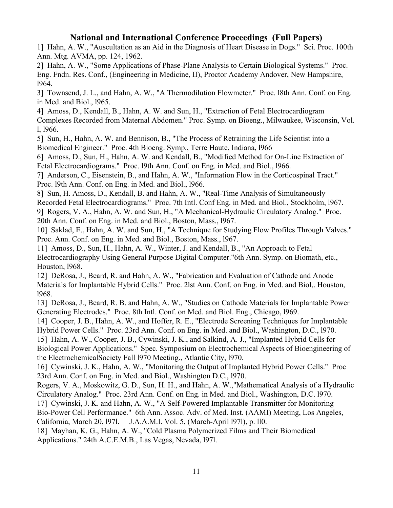## **National and International Conference Proceedings (Full Papers)**

1] Hahn, A. W., "Auscultation as an Aid in the Diagnosis of Heart Disease in Dogs." Sci. Proc. 100th Ann. Mtg. AVMA, pp. 124, 1962.

2] Hahn, A. W., "Some Applications of Phase-Plane Analysis to Certain Biological Systems." Proc. Eng. Fndn. Res. Conf., (Engineering in Medicine, II), Proctor Academy Andover, New Hampshire, l964.

3] Townsend, J. L., and Hahn, A. W., "A Thermodilution Flowmeter." Proc. l8th Ann. Conf. on Eng. in Med. and Biol., l965.

4] Amoss, D., Kendall, B., Hahn, A. W. and Sun, H., "Extraction of Fetal Electrocardiogram Complexes Recorded from Maternal Abdomen." Proc. Symp. on Bioeng., Milwaukee, Wisconsin, Vol. l, l966.

5] Sun, H., Hahn, A. W. and Bennison, B., "The Process of Retraining the Life Scientist into a Biomedical Engineer." Proc. 4th Bioeng. Symp., Terre Haute, Indiana, l966

6] Amoss, D., Sun, H., Hahn, A. W. and Kendall, B., "Modified Method for On-Line Extraction of Fetal Electrocardiograms." Proc. l9th Ann. Conf. on Eng. in Med. and Biol., l966.

7] Anderson, C., Eisenstein, B., and Hahn, A. W., "Information Flow in the Corticospinal Tract." Proc. l9th Ann. Conf. on Eng. in Med. and Biol., l966.

8] Sun, H. Amoss, D., Kendall, B. and Hahn, A. W., "Real-Time Analysis of Simultaneously Recorded Fetal Electrocardiograms." Proc. 7th Intl. Conf Eng. in Med. and Biol., Stockholm, l967. 9] Rogers, V. A., Hahn, A. W. and Sun, H., "A Mechanical-Hydraulic Circulatory Analog." Proc.

20th Ann. Conf. on Eng. in Med. and Biol., Boston, Mass., l967.

10] Saklad, E., Hahn, A. W. and Sun, H., "A Technique for Studying Flow Profiles Through Valves." Proc. Ann. Conf. on Eng. in Med. and Biol., Boston, Mass., l967.

11] Amoss, D., Sun, H., Hahn, A. W., Winter, J. and Kendall, B., "An Approach to Fetal Electrocardiography Using General Purpose Digital Computer."6th Ann. Symp. on Biomath, etc., Houston, l968.

12] DeRosa, J., Beard, R. and Hahn, A. W., "Fabrication and Evaluation of Cathode and Anode Materials for Implantable Hybrid Cells." Proc. 2lst Ann. Conf. on Eng. in Med. and Biol,. Houston, l968.

13] DeRosa, J., Beard, R. B. and Hahn, A. W., "Studies on Cathode Materials for Implantable Power Generating Electrodes." Proc. 8th Intl. Conf. on Med. and Biol. Eng., Chicago, l969.

14] Cooper, J. B., Hahn, A. W., and Hoffer, R. E., "Electrode Screening Techniques for Implantable Hybrid Power Cells." Proc. 23rd Ann. Conf. on Eng. in Med. and Biol., Washington, D.C., l970.

15] Hahn, A. W., Cooper, J. B., Cywinski, J. K., and Salkind, A. J., "Implanted Hybrid Cells for Biological Power Applications." Spec. Symposium on Electrochemical Aspects of Bioengineering of the ElectrochemicalSociety Fall l970 Meeting., Atlantic City, l970.

16] Cywinski, J. K., Hahn, A. W., "Monitoring the Output of Implanted Hybrid Power Cells." Proc 23rd Ann. Conf. on Eng. in Med. and Biol., Washington D.C., l970.

Rogers, V. A., Moskowitz, G. D., Sun, H. H., and Hahn, A. W.,"Mathematical Analysis of a Hydraulic Circulatory Analog." Proc. 23rd Ann. Conf. on Eng. in Med. and Biol., Washington, D.C. l970.

17] Cywinski, J. K. and Hahn, A. W., "A Self-Powered Implantable Transmitter for Monitoring

Bio-Power Cell Performance." 6th Ann. Assoc. Adv. of Med. Inst. (AAMI) Meeting, Los Angeles,

California, March 20, l97l. J.A.A.M.I. Vol. 5, (March-April l97l), p. ll0.

18] Mayhan, K. G., Hahn, A. W., "Cold Plasma Polymerized Films and Their Biomedical Applications." 24th A.C.E.M.B., Las Vegas, Nevada, l97l.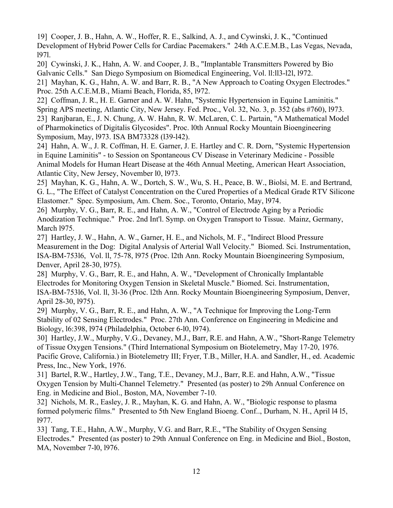19] Cooper, J. B., Hahn, A. W., Hoffer, R. E., Salkind, A. J., and Cywinski, J. K., "Continued Development of Hybrid Power Cells for Cardiac Pacemakers." 24th A.C.E.M.B., Las Vegas, Nevada, l97l.

20] Cywinski, J. K., Hahn, A. W. and Cooper, J. B., "Implantable Transmitters Powered by Bio Galvanic Cells." San Diego Symposium on Biomedical Engineering, Vol. ll:ll3-l2l, l972.

21] Mayhan, K. G., Hahn, A. W. and Barr, R. B., "A New Approach to Coating Oxygen Electrodes." Proc. 25th A.C.E.M.B., Miami Beach, Florida, 85, l972.

22] Coffman, J. R., H. E. Garner and A. W. Hahn, "Systemic Hypertension in Equine Laminitis." Spring APS meeting, Atlantic City, New Jersey. Fed. Proc., Vol. 32, No. 3, p. 352 (abs #760), l973. 23] Ranjbaran, E., J. N. Chung, A. W. Hahn, R. W. McLaren, C. L. Partain, "A Mathematical Model of Pharmokinetics of Digitalis Glycosides". Proc. l0th Annual Rocky Mountain Bioengineering Symposium, May, l973. ISA BM73328 (l39-l42).

24] Hahn, A. W., J. R. Coffman, H. E. Garner, J. E. Hartley and C. R. Dorn, "Systemic Hypertension in Equine Laminitis" - to Session on Spontaneous CV Disease in Veterinary Medicine - Possible Animal Models for Human Heart Disease at the 46th Annual Meeting, American Heart Association, Atlantic City, New Jersey, November l0, l973.

25] Mayhan, K. G., Hahn, A. W., Dortch, S. W., Wu, S. H., Peace, B. W., Biolsi, M. E. and Bertrand, G. L., "The Effect of Catalyst Concentration on the Cured Properties of a Medical Grade RTV Silicone Elastomer." Spec. Symposium, Am. Chem. Soc., Toronto, Ontario, May, l974.

26] Murphy, V. G., Barr, R. E., and Hahn, A. W., "Control of Electrode Aging by a Periodic Anodization Technique." Proc. 2nd Int'l. Symp. on Oxygen Transport to Tissue. Mainz, Germany, March l975.

27] Hartley, J. W., Hahn, A. W., Garner, H. E., and Nichols, M. F., "Indirect Blood Pressure Measurement in the Dog: Digital Analysis of Arterial Wall Velocity." Biomed. Sci. Instrumentation, ISA-BM-753l6, Vol. ll, 75-78, l975 (Proc. l2th Ann. Rocky Mountain Bioengineering Symposium, Denver, April 28-30, l975).

28] Murphy, V. G., Barr, R. E., and Hahn, A. W., "Development of Chronically Implantable Electrodes for Monitoring Oxygen Tension in Skeletal Muscle." Biomed. Sci. Instrumentation, ISA-BM-753l6, Vol. ll, 3l-36 (Proc. l2th Ann. Rocky Mountain Bioengineering Symposium, Denver, April 28-30, l975).

29] Murphy, V. G., Barr, R. E., and Hahn, A. W., "A Technique for Improving the Long-Term Stability of 02 Sensing Electrodes." Proc. 27th Ann. Conference on Engineering in Medicine and Biology, l6:398, l974 (Philadelphia, October 6-l0, l974).

30] Hartley, J.W., Murphy, V.G., Devaney, M.J., Barr, R.E. and Hahn, A.W., "Short-Range Telemetry of Tissue Oxygen Tensions." (Third International Symposium on Biotelemetry, May 17-20, 1976. Pacific Grove, California.) in Biotelemetry III; Fryer, T.B., Miller, H.A. and Sandler, H., ed. Academic Press, Inc., New York, 1976.

31] Bartel, R.W., Hartley, J.W., Tang, T.E., Devaney, M.J., Barr, R.E. and Hahn, A.W., "Tissue Oxygen Tension by Multi-Channel Telemetry." Presented (as poster) to 29h Annual Conference on Eng. in Medicine and Biol., Boston, MA, November 7-10.

32] Nichols, M. R., Easley, J. R., Mayhan, K. G. and Hahn, A. W., "Biologic response to plasma formed polymeric films." Presented to 5th New England Bioeng. Conf.., Durham, N. H., April l4 l5, l977.

33] Tang, T.E., Hahn, A.W., Murphy, V.G. and Barr, R.E., "The Stability of Oxygen Sensing Electrodes." Presented (as poster) to 29th Annual Conference on Eng. in Medicine and Biol., Boston, MA, November 7-l0, l976.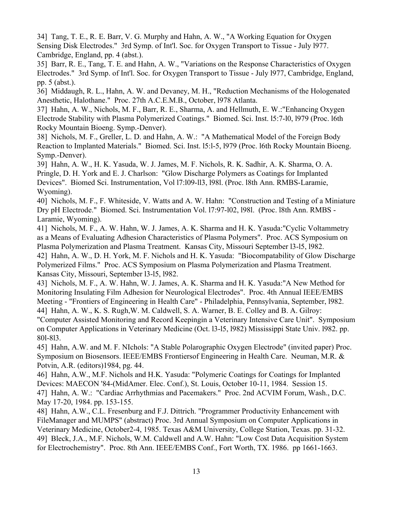34] Tang, T. E., R. E. Barr, V. G. Murphy and Hahn, A. W., "A Working Equation for Oxygen Sensing Disk Electrodes." 3rd Symp. of Int'l. Soc. for Oxygen Transport to Tissue - July l977. Cambridge, England, pp. 4 (abst.).

35] Barr, R. E., Tang, T. E. and Hahn, A. W., "Variations on the Response Characteristics of Oxygen Electrodes." 3rd Symp. of Int'l. Soc. for Oxygen Transport to Tissue - July l977, Cambridge, England, pp. 5 (abst.).

36] Middaugh, R. L., Hahn, A. W. and Devaney, M. H., "Reduction Mechanisms of the Hologenated Anesthetic, Halothane." Proc. 27th A.C.E.M.B., October, l978 Atlanta.

37] Hahn, A. W., Nichols, M. F., Barr, R. E., Sharma, A. and Hellmuth, E. W.:"Enhancing Oxygen Electrode Stability with Plasma Polymerized Coatings." Biomed. Sci. Inst. l5:7-l0, l979 (Proc. l6th Rocky Mountain Bioeng. Symp.-Denver).

38] Nichols, M. F., Greller, L. D. and Hahn, A. W.: "A Mathematical Model of the Foreign Body Reaction to Implanted Materials." Biomed. Sci. Inst. l5:l-5, l979 (Proc. l6th Rocky Mountain Bioeng. Symp.-Denver).

39] Hahn, A. W., H. K. Yasuda, W. J. James, M. F. Nichols, R. K. Sadhir, A. K. Sharma, O. A. Pringle, D. H. York and E. J. Charlson: "Glow Discharge Polymers as Coatings for Implanted Devices". Biomed Sci. Instrumentation, Vol l7:l09-ll3, l98l. (Proc. l8th Ann. RMBS-Laramie, Wyoming).

40] Nichols, M. F., F. Whiteside, V. Watts and A. W. Hahn: "Construction and Testing of a Miniature Dry pH Electrode." Biomed. Sci. Instrumentation Vol. l7:97-l02, l98l. (Proc. l8th Ann. RMBS - Laramie, Wyoming).

41] Nichols, M. F., A. W. Hahn, W. J. James, A. K. Sharma and H. K. Yasuda:"Cyclic Voltammetry as a Means of Evaluating Adhesion Characteristics of Plasma Polymers". Proc. ACS Symposium on Plasma Polymerization and Plasma Treatment. Kansas City, Missouri September l3-l5, l982. 42] Hahn, A. W., D. H. York, M. F. Nichols and H. K. Yasuda: "Biocompatability of Glow Discharge Polymerized Films." Proc. ACS Symposium on Plasma Polymerization and Plasma Treatment. Kansas City, Missouri, September l3-l5, l982.

43] Nichols, M. F., A. W. Hahn, W. J. James, A. K. Sharma and H. K. Yasuda:"A New Method for Monitoring Insulating Film Adhesion for Neurological Electrodes". Proc. 4th Annual IEEE/EMBS Meeting - "Frontiers of Engineering in Health Care" - Philadelphia, Pennsylvania, September, l982. 44] Hahn, A. W., K. S. Rugh,W. M. Caldwell, S. A. Warner, B. E. Colley and B. A. Gilroy:

"Computer Assisted Monitoring and Record Keepingin a Veterinary Intensive Care Unit". Symposium on Computer Applications in Veterinary Medicine (Oct. l3-l5, l982) Mississippi State Univ. l982. pp. 80l-8l3.

45] Hahn, A.W. and M. F. NIchols: "A Stable Polarographic Oxygen Electrode" (invited paper) Proc. Symposium on Biosensors. IEEE/EMBS Frontiersof Engineering in Health Care. Neuman, M.R. & Potvin, A.R. (editors)1984, pg. 44.

46] Hahn, A.W., M.F. Nichols and H.K. Yasuda: "Polymeric Coatings for Coatings for Implanted Devices: MAECON '84-(MidAmer. Elec. Conf.), St. Louis, October 10-11, 1984. Session 15. 47] Hahn, A. W.: "Cardiac Arrhythmias and Pacemakers." Proc. 2nd ACVIM Forum, Wash., D.C. May 17-20, 1984. pp. 153-155.

48] Hahn, A.W., C.L. Fresenburg and F.J. Dittrich. "Programmer Productivity Enhancement with FileManager and MUMPS" (abstract) Proc. 3rd Annual Symposium on Computer Applications in Veterinary Medicine, October2-4, 1985. Texas A&M University, College Station, Texas. pp. 31-32. 49] Bleck, J.A., M.F. Nichols, W.M. Caldwell and A.W. Hahn: "Low Cost Data Acquisition System for Electrochemistry". Proc. 8th Ann. IEEE/EMBS Conf., Fort Worth, TX. 1986. pp 1661-1663.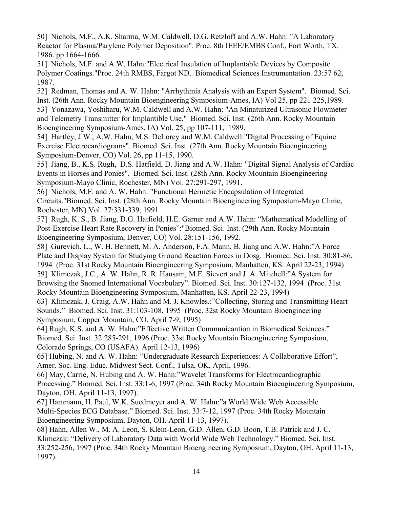50] Nichols, M.F., A.K. Sharma, W.M. Caldwell, D.G. Retzloff and A.W. Hahn: "A Laboratory Reactor for Plasma/Parylene Polymer Deposition". Proc. 8th IEEE/EMBS Conf., Fort Worth, TX. 1986. pp 1664-1666.

51] Nichols, M.F. and A.W. Hahn:"Electrical Insulation of Implantable Devices by Composite Polymer Coatings."Proc. 24th RMBS, Fargot ND. Biomedical Sciences Instrumentation. 23:57 62, 1987.

52] Redman, Thomas and A. W. Hahn: "Arrhythmia Analysis with an Expert System". Biomed. Sci. Inst. (26th Ann. Rocky Mountain Bioengineering Symposium-Ames, IA) Vol 25, pp 221 225,1989. 53] Yonazawa, Yoshiharu, W.M. Caldwell and A.W. Hahn: "An Minaturized Ultrasonic Flowmeter and Telemetry Transmitter for Implantible Use." Biomed. Sci. Inst. (26th Ann. Rocky Mountain Bioengineering Symposium-Ames, IA) Vol. 25, pp 107-111, 1989.

54] Hartley, J.W., A.W. Hahn, M.S. DeLorey and W.M. Caldwell:"Digital Processing of Equine Exercise Electrocardiograms". Biomed. Sci. Inst. (27th Ann. Rocky Mountain Bioengineering Symposium-Denver, CO) Vol. 26, pp 11-15, 1990.

55] Jiang, B., K.S. Rugh, D.S. Hatfield, D. Jiang and A.W. Hahn: "Digital Signal Analysis of Cardiac Events in Horses and Ponies". Biomed. Sci. Inst. (28th Ann. Rocky Mountain Bioengineering Symposium-Mayo Clinic, Rochester, MN) Vol. 27:291-297, 1991.

56] Nichols, M.F. and A. W. Hahn: "Functional Hermetic Encapsulation of Integrated Circuits."Biomed. Sci. Inst. (28th Ann. Rocky Mountain Bioengineering Symposium-Mayo Clinic, Rochester, MN) Vol. 27:331-339, 1991

57] Rugh, K. S., B. Jiang, D.G. Hatfield, H.E. Garner and A.W. Hahn: "Mathematical Modelling of Post-Exercise Heart Rate Recovery in Ponies":"Biomed. Sci. Inst. (29th Ann. Rocky Mountain Bioengineering Symposium, Denver, CO) Vol. 28:151-156, 1992.

58] Gurevich, L., W. H. Bennett, M. A. Anderson, F.A. Mann, B. Jiang and A.W. Hahn:"A Force Plate and Display System for Studying Ground Reaction Forces in Dosg. Biomed. Sci. Inst. 30:81-86, 1994 (Proc. 31st Rocky Mountain Bioengineering Symposium, Manhatten, KS. April 22-23, 1994) 59] Klimczak, J.C., A. W. Hahn, R. R. Hausam, M.E. Sievert and J. A. Mitchell:"A System for Browsing the Snomed International Vocabulary". Biomed. Sci. Inst. 30:127-132, 1994 (Proc. 31st Rocky Mountain Bioengineering Symposium, Manhatten, KS. April 22-23, 1994)

63] Klimczak, J. Craig, A.W. Hahn and M. J. Knowles.:"Collecting, Storing and Transmitting Heart Sounds." Biomed. Sci. Inst. 31:103-108, 1995 (Proc. 32st Rocky Mountain Bioengineering Symposium, Copper Mountain, CO. April 7-9, 1995)

64] Rugh, K.S. and A. W. Hahn:"Effective Written Communicantion in Biomedical Sciences." Biomed. Sci. Inst. 32:285-291, 1996 (Proc. 33st Rocky Mountain Bioengineering Symposium, Colorado Springs, CO (USAFA). April 12-13, 1996)

65] Hubing, N. and A. W. Hahn: "Undergraduate Research Experiences: A Collaborative Effort", Amer. Soc. Eng. Educ. Midwest Sect. Conf., Tulsa, OK, April, 1996.

66] May, Carrie, N. Hubing and A. W. Hahn:"Wavelet Transforms for Electrocardiographic Processing." Biomed. Sci. Inst. 33:1-6, 1997 (Proc. 34th Rocky Mountain Bioengineering Symposium, Dayton, OH. April 11-13, 1997).

67] Hammann, H. Paul, W.K. Suedmeyer and A. W. Hahn:"a World Wide Web Accessible Multi-Species ECG Database." Biomed. Sci. Inst. 33:7-12, 1997 (Proc. 34th Rocky Mountain Bioengineering Symposium, Dayton, OH. April 11-13, 1997).

68] Hahn, Allen W., M. A. Leon, S. Klein-Leon, G.D. Allen, G.D. Boon, T.B. Patrick and J. C. Klimczak: "Delivery of Laboratory Data with World Wide Web Technology." Biomed. Sci. Inst. 33:252-256, 1997 (Proc. 34th Rocky Mountain Bioengineering Symposium, Dayton, OH. April 11-13, 1997).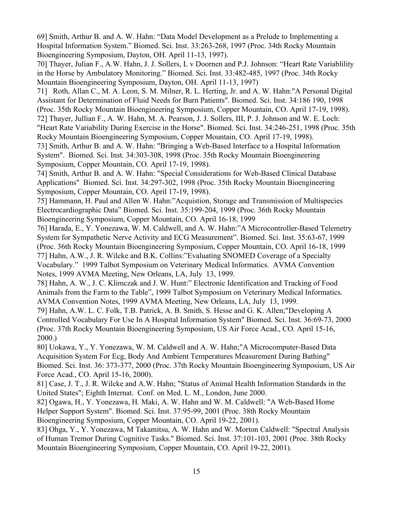69] Smith, Arthur B. and A. W. Hahn: "Data Model Development as a Prelude to Implementing a Hospital Information System." Biomed. Sci. Inst. 33:263-268, 1997 (Proc. 34th Rocky Mountain Bioengineering Symposium, Dayton, OH. April 11-13, 1997).

70] Thayer, Julian F., A.W. Hahn, J. J. Sollers, L v Doornen and P.J. Johnson: "Heart Rate Variablility in the Horse by Ambulatory Monitoring." Biomed. Sci. Inst. 33:482-485, 1997 (Proc. 34th Rocky Mountain Bioengineering Symposium, Dayton, OH. April 11-13, 1997)

71] Roth, Allan C., M. A. Leon, S. M. Milner, R. L. Herting, Jr. and A. W. Hahn:"A Personal Digital Assistant for Determination of Fluid Needs for Burn Patients". Biomed. Sci. Inst. 34:186 190, 1998 (Proc. 35th Rocky Mountain Bioengineering Symposium, Copper Mountain, CO. April 17-19, 1998). 72] Thayer, Jullian F., A. W. Hahn, M. A. Pearson, J. J. Sollers, III, P. J. Johnson and W. E. Loch:

"Heart Rate Variability During Exercise in the Horse". Biomed. Sci. Inst. 34:246-251, 1998 (Proc. 35th Rocky Mountain Bioengineering Symposium, Copper Mountain, CO. April 17-19, 1998).

73] Smith, Arthur B. and A. W. Hahn: "Bringing a Web-Based Interface to a Hospital Information System". Biomed. Sci. Inst. 34:303-308, 1998 (Proc. 35th Rocky Mountain Bioengineering Symposium, Copper Mountain, CO. April 17-19, 1998).

74] Smith, Arthur B. and A. W. Hahn: "Special Considerations for Web-Based Clinical Database Applications" Biomed. Sci. Inst. 34:297-302, 1998 (Proc. 35th Rocky Mountain Bioengineering Symposium, Copper Mountain, CO. April 17-19, 1998).

75] Hammann, H. Paul and Allen W. Hahn:"Acquistion, Storage and Transmission of Multispecies Electrocardiographic Data" Biomed. Sci. Inst. 35:199-204, 1999 (Proc. 36th Rocky Mountain Bioengineering Symposium, Copper Mountain, CO. April 16-18, 1999

76] Harada, E., Y. Yonezawa, W. M. Caldwell, and A. W. Hahn:"A Microcontroller-Based Telemetry System for Sympathetic Nerve Activity and ECG Measurement". Biomed. Sci. Inst. 35:63-67, 1999 (Proc. 36th Rocky Mountain Bioengineering Symposium, Copper Mountain, CO. April 16-18, 1999 77] Hahn, A.W., J. R. Wilcke and B.K. Collins:"Evaluating SNOMED Coverage of a Specialty Vocabulary." 1999 Talbot Symposium on Veterinary Medical Informatics. AVMA Convention Notes, 1999 AVMA Meeting, New Orleans, LA, July 13, 1999.

78] Hahn, A. W., J. C. Klimczak and J. W. Hunt:" Electronic Identification and Tracking of Food Animals from the Farm to the Table", 1999 Talbot Symposium on Veterinary Medical Informatics. AVMA Convention Notes, 1999 AVMA Meeting, New Orleans, LA, July 13, 1999.

79] Hahn, A.W. L. C. Folk, T.B. Patrick, A. B. Smith, S. Hesse and G. K. Allen;"Developing A Controlled Vocabulary For Use In A Hospital Information System" Biomed. Sci. Inst. 36:69-73, 2000 (Proc. 37th Rocky Mountain Bioengineering Symposium, US Air Force Acad., CO. April 15-16, 2000.)

80] Uokawa, Y., Y. Yonezawa, W. M. Caldwell and A. W. Hahn;"A Microcomputer-Based Data Acquisition System For Ecg, Body And Ambient Temperatures Measurement During Bathing" Biomed. Sci. Inst. 36: 373-377, 2000 (Proc. 37th Rocky Mountain Bioengineering Symposium, US Air Force Acad., CO. April 15-16, 2000).

81] Case, J. T., J. R. Wilcke and A.W. Hahn; "Status of Animal Health Information Standards in the United States"; Eighth Internat. Conf. on Med. L. M., London, June 2000.

82] Ogawa, H., Y. Yonezawa, H. Maki, A. W. Hahn and W. M. Caldwell: "A Web-Based Home Helper Support System". Biomed. Sci. Inst. 37:95-99, 2001 (Proc. 38th Rocky Mountain Bioengineering Symposium, Copper Mountain, CO. April 19-22, 2001).

83] Ohga, Y., Y. Yonezawa, M Takamitsu, A. W. Hahn and W. Morton Caldwell: "Spectral Analysis of Human Tremor During Cognitive Tasks." Biomed. Sci. Inst. 37:101-103, 2001 (Proc. 38th Rocky Mountain Bioengineering Symposium, Copper Mountain, CO. April 19-22, 2001).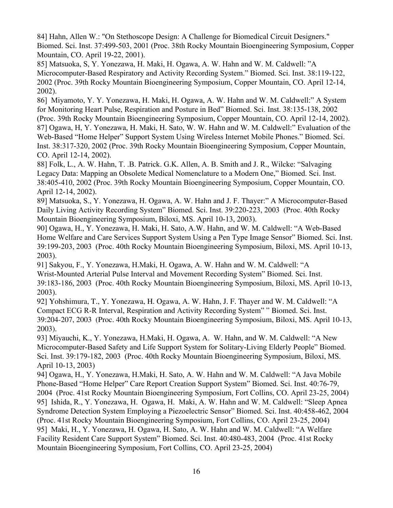84] Hahn, Allen W.: "On Stethoscope Design: A Challenge for Biomedical Circuit Designers." Biomed. Sci. Inst. 37:499-503, 2001 (Proc. 38th Rocky Mountain Bioengineering Symposium, Copper Mountain, CO. April 19-22, 2001).

85] Matsuoka, S, Y. Yonezawa, H. Maki, H. Ogawa, A. W. Hahn and W. M. Caldwell: "A Microcomputer-Based Respiratory and Activity Recording System." Biomed. Sci. Inst. 38:119-122, 2002 (Proc. 39th Rocky Mountain Bioengineering Symposium, Copper Mountain, CO. April 12-14, 2002).

86] Miyamoto, Y. Y. Yonezawa, H. Maki, H. Ogawa, A. W. Hahn and W. M. Caldwell:" A System for Monitoring Heart Pulse, Respiration and Posture in Bed" Biomed. Sci. Inst. 38:135-138, 2002 (Proc. 39th Rocky Mountain Bioengineering Symposium, Copper Mountain, CO. April 12-14, 2002). 87] Ogawa, H, Y. Yonezawa, H. Maki, H. Sato, W. W. Hahn and W. M. Caldwell:" Evaluation of the Web-Based "Home Helper" Support System Using Wireless Internet Mobile Phones." Biomed. Sci. Inst. 38:317-320, 2002 (Proc. 39th Rocky Mountain Bioengineering Symposium, Copper Mountain, CO. April 12-14, 2002).

88] Folk, L., A. W. Hahn, T. .B. Patrick. G.K. Allen, A. B. Smith and J. R., Wilcke: "Salvaging Legacy Data: Mapping an Obsolete Medical Nomenclature to a Modern One," Biomed. Sci. Inst. 38:405-410, 2002 (Proc. 39th Rocky Mountain Bioengineering Symposium, Copper Mountain, CO. April 12-14, 2002).

89] Matsuoka, S., Y. Yonezawa, H. Ogawa, A. W. Hahn and J. F. Thayer:" A Microcomputer-Based Daily Living Activity Recording System" Biomed. Sci. Inst. 39:220-223, 2003 (Proc. 40th Rocky Mountain Bioengineering Symposium, Biloxi, MS. April 10-13, 2003).

90] Ogawa, H., Y. Yonezawa, H. Maki, H. Sato, A.W. Hahn, and W. M. Caldwell: "A Web-Based Home Welfare and Care Services Support System Using a Pen Type Image Sensor" Biomed. Sci. Inst. 39:199-203, 2003 (Proc. 40th Rocky Mountain Bioengineering Symposium, Biloxi, MS. April 10-13, 2003).

91] Sakyou, F., Y. Yonezawa, H.Maki, H. Ogawa, A. W. Hahn and W. M. Caldwell: "A Wrist-Mounted Arterial Pulse Interval and Movement Recording System" Biomed. Sci. Inst. 39:183-186, 2003 (Proc. 40th Rocky Mountain Bioengineering Symposium, Biloxi, MS. April 10-13, 2003).

92] Yohshimura, T., Y. Yonezawa, H. Ogawa, A. W. Hahn, J. F. Thayer and W. M. Caldwell: "A Compact ECG R-R Interval, Respiration and Activity Recording System" " Biomed. Sci. Inst. 39:204-207, 2003 (Proc. 40th Rocky Mountain Bioengineering Symposium, Biloxi, MS. April 10-13, 2003).

93] Miyauchi, K., Y. Yonezawa, H.Maki, H. Ogawa, A. W. Hahn, and W. M. Caldwell: "A New Microcomputer-Based Safety and Life Support System for Solitary-Living Elderly People" Biomed. Sci. Inst. 39:179-182, 2003 (Proc. 40th Rocky Mountain Bioengineering Symposium, Biloxi, MS. April 10-13, 2003)

94] Ogawa, H., Y. Yonezawa, H.Maki, H. Sato, A. W. Hahn and W. M. Caldwell: "A Java Mobile Phone-Based "Home Helper" Care Report Creation Support System" Biomed. Sci. Inst. 40:76-79, 2004 (Proc. 41st Rocky Mountain Bioengineering Symposium, Fort Collins, CO. April 23-25, 2004) 95] Ishida, R., Y. Yonezawa, H. Ogawa, H. Maki, A. W. Hahn and W. M. Caldwell: "Sleep Apnea Syndrome Detection System Employing a Piezoelectric Sensor" Biomed. Sci. Inst. 40:458-462, 2004 (Proc. 41st Rocky Mountain Bioengineering Symposium, Fort Collins, CO. April 23-25, 2004) 95] Maki, H., Y. Yonezawa, H. Ogawa, H. Sato, A. W. Hahn and W. M. Caldwell: "A Welfare Facility Resident Care Support System" Biomed. Sci. Inst. 40:480-483, 2004 (Proc. 41st Rocky Mountain Bioengineering Symposium, Fort Collins, CO. April 23-25, 2004)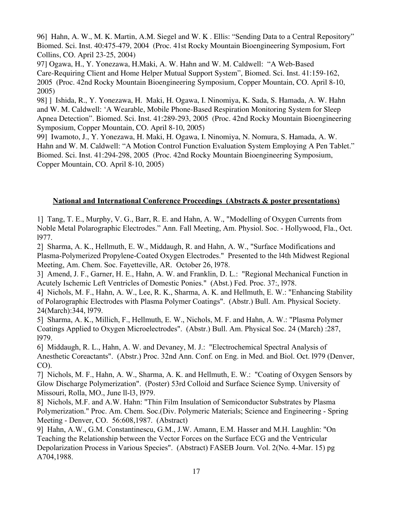96] Hahn, A. W., M. K. Martin, A.M. Siegel and W. K . Ellis: "Sending Data to a Central Repository" Biomed. Sci. Inst. 40:475-479, 2004 (Proc. 41st Rocky Mountain Bioengineering Symposium, Fort Collins, CO. April 23-25, 2004)

97] Ogawa, H., Y. Yonezawa, H.Maki, A. W. Hahn and W. M. Caldwell: "A Web-Based Care-Requiring Client and Home Helper Mutual Support System", Biomed. Sci. Inst. 41:159-162, 2005 (Proc. 42nd Rocky Mountain Bioengineering Symposium, Copper Mountain, CO. April 8-10, 2005)

98] ] Ishida, R., Y. Yonezawa, H. Maki, H. Ogawa, I. Ninomiya, K. Sada, S. Hamada, A. W. Hahn and W. M. Caldwell: 'A Wearable, Mobile Phone-Based Respiration Monitoring System for Sleep Apnea Detection". Biomed. Sci. Inst. 41:289-293, 2005 (Proc. 42nd Rocky Mountain Bioengineering Symposium, Copper Mountain, CO. April 8-10, 2005)

99] Iwamoto, J., Y. Yonezawa, H. Maki, H. Ogawa, I. Ninomiya, N. Nomura, S. Hamada, A. W. Hahn and W. M. Caldwell: "A Motion Control Function Evaluation System Employing A Pen Tablet." Biomed. Sci. Inst. 41:294-298, 2005 (Proc. 42nd Rocky Mountain Bioengineering Symposium, Copper Mountain, CO. April 8-10, 2005)

### **National and International Conference Proceedings (Abstracts & poster presentations)**

1] Tang, T. E., Murphy, V. G., Barr, R. E. and Hahn, A. W., "Modelling of Oxygen Currents from Noble Metal Polarographic Electrodes." Ann. Fall Meeting, Am. Physiol. Soc. - Hollywood, Fla., Oct. l977.

2] Sharma, A. K., Hellmuth, E. W., Middaugh, R. and Hahn, A. W., "Surface Modifications and Plasma-Polymerized Propylene-Coated Oxygen Electrodes." Presented to the l4th Midwest Regional Meeting, Am. Chem. Soc. Fayetteville, AR. October 26, l978.

3] Amend, J. F., Garner, H. E., Hahn, A. W. and Franklin, D. L.: "Regional Mechanical Function in Acutely Ischemic Left Ventricles of Domestic Ponies." (Abst.) Fed. Proc. 37:, l978.

4] Nichols, M. F., Hahn, A. W., Lee, R. K., Sharma, A. K. and Hellmuth, E. W.: "Enhancing Stability of Polarographic Electrodes with Plasma Polymer Coatings". (Abstr.) Bull. Am. Physical Society. 24(March):344, l979.

5] Sharma, A. K., Millich, F., Hellmuth, E. W., Nichols, M. F. and Hahn, A. W.: "Plasma Polymer Coatings Applied to Oxygen Microelectrodes". (Abstr.) Bull. Am. Physical Soc. 24 (March) :287, l979.

6] Middaugh, R. L., Hahn, A. W. and Devaney, M. J.: "Electrochemical Spectral Analysis of Anesthetic Coreactants". (Abstr.) Proc. 32nd Ann. Conf. on Eng. in Med. and Biol. Oct. l979 (Denver, CO).

7] Nichols, M. F., Hahn, A. W., Sharma, A. K. and Hellmuth, E. W.: "Coating of Oxygen Sensors by Glow Discharge Polymerization". (Poster) 53rd Colloid and Surface Science Symp. University of Missouri, Rolla, MO., June ll-l3, l979.

8] Nichols, M.F. and A.W. Hahn: "Thin Film Insulation of Semiconductor Substrates by Plasma Polymerization." Proc. Am. Chem. Soc.(Div. Polymeric Materials; Science and Engineering - Spring Meeting - Denver, CO. 56:608,1987. (Abstract)

9] Hahn, A.W., G.M. Constantinescu, G.M., J.W. Amann, E.M. Hasser and M.H. Laughlin: "On Teaching the Relationship between the Vector Forces on the Surface ECG and the Ventricular Depolarization Process in Various Species". (Abstract) FASEB Journ. Vol. 2(No. 4-Mar. 15) pg A704,1988.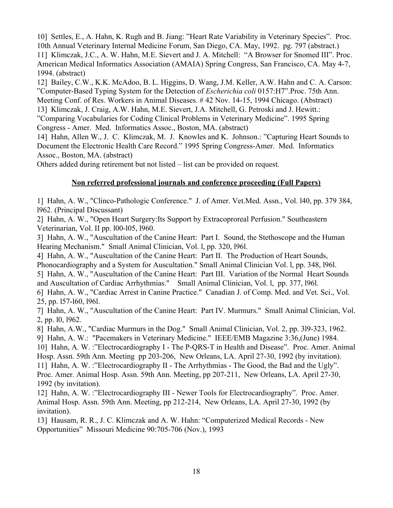10] Settles, E., A. Hahn, K. Rugh and B. Jiang: "Heart Rate Variability in Veterinary Species". Proc. 10th Annual Veterinary Internal Medicine Forum, San Diego, CA. May, 1992. pg. 797 (abstract.) 11] Klimczak, J.C., A. W. Hahn, M.E. Sievert and J. A. Mitchell: "A Browser for Snomed III". Proc. American Medical Informatics Association (AMAIA) Spring Congress, San Francisco, CA. May 4-7, 1994. (abstract)

12] Bailey, C.W., K.K. McAdoo, B. L. Higgins, D. Wang, J.M. Keller, A.W. Hahn and C. A. Carson: "Computer-Based Typing System for the Detection of *Escherichia coli* 0157:H7".Proc. 75th Ann. Meeting Conf. of Res. Workers in Animal Diseases. # 42 Nov. 14-15, 1994 Chicago. (Abstract)

13] Klimczak, J. Craig, A.W. Hahn, M.E. Sievert, J.A. Mitchell, G. Petroski and J. Hewitt.:

"Comparing Vocabularies for Coding Clinical Problems in Veterinary Medicine". 1995 Spring Congress - Amer. Med. Informatics Assoc., Boston, MA. (abstract)

14] Hahn, Allen W., J. C. Klimczak, M. J. Knowles and K. Johnson.: "Capturing Heart Sounds to Document the Electronic Health Care Record." 1995 Spring Congress-Amer. Med. Informatics Assoc., Boston, MA. (abstract)

Others added during retirement but not listed – list can be provided on request.

## **Non referred professional journals and conference proceeding (Full Papers)**

1] Hahn, A. W., "Clinco-Pathologic Conference." J. of Amer. Vet.Med. Assn., Vol. l40, pp. 379 384, l962. (Principal Discussant)

2] Hahn, A. W., "Open Heart Surgery:Its Support by Extracoproreal Perfusion." Southeastern Veterinarian, Vol. II pp. l00-l05, l960.

3] Hahn, A. W., "Auscultation of the Canine Heart: Part I. Sound, the Stethoscope and the Human Hearing Mechanism." Small Animal Clinician, Vol. l, pp. 320, l96l.

4] Hahn, A. W., "Auscultation of the Canine Heart: Part II. The Production of Heart Sounds,

Phonocardiography and a System for Auscultation." Small Animal Clinician Vol. l, pp. 348, l96l.

5] Hahn, A. W., "Auscultation of the Canine Heart: Part III. Variation of the Normal Heart Sounds and Auscultation of Cardiac Arrhythmias." Small Animal Clinician, Vol. l, pp. 377, l96l.

6] Hahn, A. W., "Cardiac Arrest in Canine Practice." Canadian J. of Comp. Med. and Vet. Sci., Vol. 25, pp. l57-l60, l96l.

7] Hahn, A. W., "Auscultation of the Canine Heart: Part IV. Murmurs." Small Animal Clinician, Vol. 2, pp. l0, l962.

8] Hahn, A.W., "Cardiac Murmurs in the Dog." Small Animal Clinician, Vol. 2, pp. 3l9-323, 1962.

9] Hahn, A. W.: "Pacemakers in Veterinary Medicine." IEEE/EMB Magazine 3:36,(June) 1984.

10] Hahn, A. W. :"Electrocardiography I - The P-QRS-T in Health and Disease". Proc. Amer. Animal

Hosp. Assn. 59th Ann. Meeting pp 203-206, New Orleans, LA. April 27-30, 1992 (by invitation). 11] Hahn, A. W. :"Electrocardiography II - The Arrhythmias - The Good, the Bad and the Ugly". Proc. Amer. Animal Hosp. Assn. 59th Ann. Meeting, pp 207-211, New Orleans, LA. April 27-30, 1992 (by invitation).

12] Hahn, A. W. :"Electrocardiography III - Newer Tools for Electrocardiography". Proc. Amer. Animal Hosp. Assn. 59th Ann. Meeting, pp 212-214, New Orleans, LA. April 27-30, 1992 (by invitation).

13] Hausam, R. R., J. C. Klimczak and A. W. Hahn: "Computerized Medical Records - New Opportunities" Missouri Medicine 90:705-706 (Nov.), 1993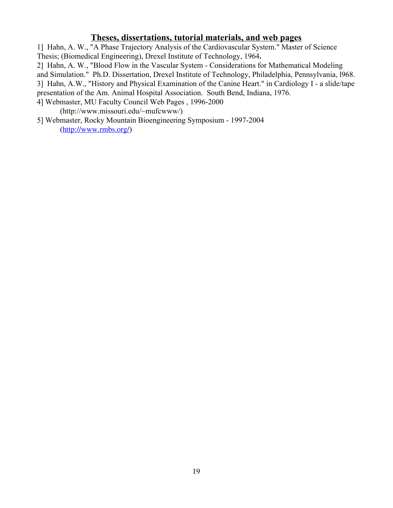## **Theses, dissertations, tutorial materials, and web pages**

1] Hahn, A. W., "A Phase Trajectory Analysis of the Cardiovascular System." Master of Science Thesis; (Biomedical Engineering), Drexel Institute of Technology, 1964**.**

2] Hahn, A. W., "Blood Flow in the Vascular System - Considerations for Mathematical Modeling

and Simulation." Ph.D. Dissertation, Drexel Institute of Technology, Philadelphia, Pennsylvania, l968.

3] Hahn, A.W., "History and Physical Examination of the Canine Heart." in Cardiology I - a slide/tape

presentation of the Am. Animal Hospital Association. South Bend, Indiana, 1976.

4] Webmaster, MU Faculty Council Web Pages , 1996-2000

(http://www.missouri.edu/~mufcwww/)

5] Webmaster, Rocky Mountain Bioengineering Symposium - 1997-2004 ([http://www.rmbs.org/](http://www.missouri.edu/~rmbs/))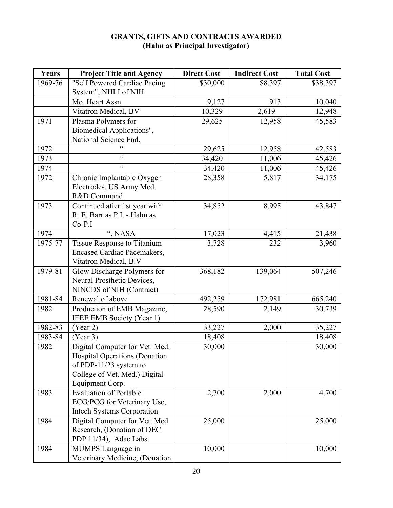| Years   | <b>Project Title and Agency</b>    | <b>Direct Cost</b> | <b>Indirect Cost</b> | <b>Total Cost</b> |
|---------|------------------------------------|--------------------|----------------------|-------------------|
| 1969-76 | "Self Powered Cardiac Pacing       | \$30,000           | \$8,397              | \$38,397          |
|         | System", NHLI of NIH               |                    |                      |                   |
|         | Mo. Heart Assn.                    | 9,127              | 913                  | 10,040            |
|         | Vitatron Medical, BV               | 10,329             | 2,619                | 12,948            |
| 1971    | Plasma Polymers for                | 29,625             | 12,958               | 45,583            |
|         | Biomedical Applications",          |                    |                      |                   |
|         | National Science Fnd.              |                    |                      |                   |
| 1972    |                                    | 29,625             | 12,958               | 42,583            |
| 1973    | $\epsilon$                         | 34,420             | 11,006               | 45,426            |
| 1974    | $\epsilon$                         | 34,420             | 11,006               | 45,426            |
| 1972    | Chronic Implantable Oxygen         | 28,358             | 5,817                | 34,175            |
|         | Electrodes, US Army Med.           |                    |                      |                   |
|         | R&D Command                        |                    |                      |                   |
| 1973    | Continued after 1st year with      | 34,852             | 8,995                | 43,847            |
|         | R. E. Barr as P.I. - Hahn as       |                    |                      |                   |
|         | $Co-P.I$                           |                    |                      |                   |
| 1974    | ", NASA                            | 17,023             | 4,415                | 21,438            |
| 1975-77 | Tissue Response to Titanium        | 3,728              | 232                  | 3,960             |
|         | <b>Encased Cardiac Pacemakers,</b> |                    |                      |                   |
|         | Vitatron Medical, B.V              |                    |                      |                   |
| 1979-81 | Glow Discharge Polymers for        | 368,182            | 139,064              | 507,246           |
|         | Neural Prosthetic Devices,         |                    |                      |                   |
|         | NINCDS of NIH (Contract)           |                    |                      |                   |
| 1981-84 | Renewal of above                   | 492,259            | 172,981              | 665,240           |
| 1982    | Production of EMB Magazine,        | 28,590             | 2,149                | 30,739            |
|         | IEEE EMB Society (Year 1)          |                    |                      |                   |
| 1982-83 | (Year 2)                           | 33,227             | 2,000                | 35,227            |
| 1983-84 | (Year 3)                           | 18,408             |                      | 18,408            |
| 1982    | Digital Computer for Vet. Med.     | 30,000             |                      | 30,000            |
|         | Hospital Operations (Donation      |                    |                      |                   |
|         | of PDP-11/23 system to             |                    |                      |                   |
|         | College of Vet. Med.) Digital      |                    |                      |                   |
|         | Equipment Corp.                    |                    |                      |                   |
| 1983    | <b>Evaluation of Portable</b>      | 2,700              | 2,000                | 4,700             |
|         | ECG/PCG for Veterinary Use,        |                    |                      |                   |
|         | <b>Intech Systems Corporation</b>  |                    |                      |                   |
| 1984    | Digital Computer for Vet. Med      | 25,000             |                      | 25,000            |
|         | Research, (Donation of DEC         |                    |                      |                   |
|         | PDP 11/34), Adac Labs.             |                    |                      |                   |
| 1984    | MUMPS Language in                  | 10,000             |                      | 10,000            |
|         | Veterinary Medicine, (Donation     |                    |                      |                   |

## **GRANTS, GIFTS AND CONTRACTS AWARDED (Hahn as Principal Investigator)**